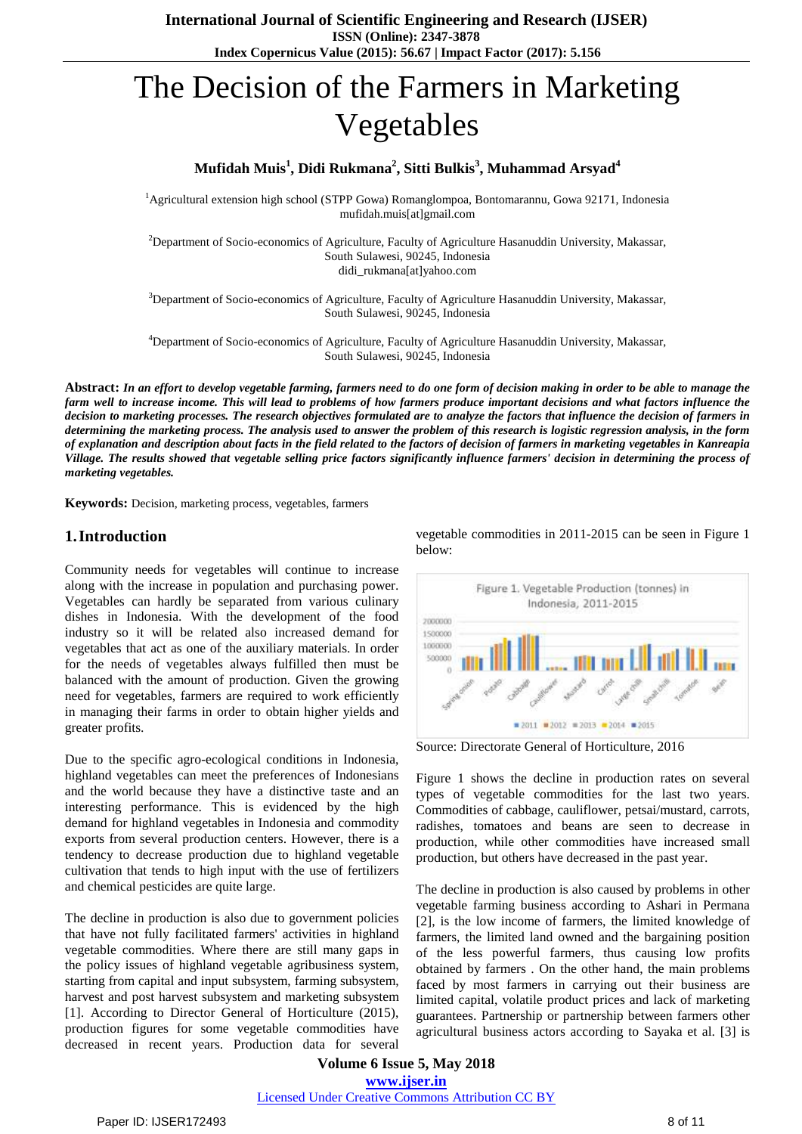# The Decision of the Farmers in Marketing Vegetables

# **Mufidah Muis<sup>1</sup> , Didi Rukmana<sup>2</sup> , Sitti Bulkis<sup>3</sup> , Muhammad Arsyad<sup>4</sup>**

<sup>1</sup>Agricultural extension high school (STPP Gowa) Romanglompoa, Bontomarannu, Gowa 92171, Indonesia mufidah.muis[at]gmail.com

<sup>2</sup>Department of Socio-economics of Agriculture, Faculty of Agriculture Hasanuddin University, Makassar, South Sulawesi, 90245, Indonesia didi\_rukmana[at]yahoo.com

<sup>3</sup>Department of Socio-economics of Agriculture, Faculty of Agriculture Hasanuddin University, Makassar, South Sulawesi, 90245, Indonesia

<sup>4</sup>Department of Socio-economics of Agriculture, Faculty of Agriculture Hasanuddin University, Makassar, South Sulawesi, 90245, Indonesia

Abstract: In an effort to develop vegetable farming, farmers need to do one form of decision making in order to be able to manage the farm well to increase income. This will lead to problems of how farmers produce important decisions and what factors influence the decision to marketing processes. The research objectives formulated are to analyze the factors that influence the decision of farmers in determining the marketing process. The analysis used to answer the problem of this research is logistic regression analysis, in the form of explanation and description about facts in the field related to the factors of decision of farmers in marketing vegetables in Kanreapia Village. The results showed that vegetable selling price factors significantly influence farmers' decision in determining the process of *marketing vegetables.*

**Keywords:** Decision, marketing process, vegetables, farmers

## **1.Introduction**

Community needs for vegetables will continue to increase along with the increase in population and purchasing power. Vegetables can hardly be separated from various culinary dishes in Indonesia. With the development of the food industry so it will be related also increased demand for vegetables that act as one of the auxiliary materials. In order for the needs of vegetables always fulfilled then must be balanced with the amount of production. Given the growing need for vegetables, farmers are required to work efficiently in managing their farms in order to obtain higher yields and greater profits.

Due to the specific agro-ecological conditions in Indonesia, highland vegetables can meet the preferences of Indonesians and the world because they have a distinctive taste and an interesting performance. This is evidenced by the high demand for highland vegetables in Indonesia and commodity exports from several production centers. However, there is a tendency to decrease production due to highland vegetable cultivation that tends to high input with the use of fertilizers and chemical pesticides are quite large.

The decline in production is also due to government policies that have not fully facilitated farmers' activities in highland vegetable commodities. Where there are still many gaps in the policy issues of highland vegetable agribusiness system, starting from capital and input subsystem, farming subsystem, harvest and post harvest subsystem and marketing subsystem [1]. According to Director General of Horticulture (2015), production figures for some vegetable commodities have decreased in recent years. Production data for several

vegetable commodities in 2011-2015 can be seen in Figure 1 below:



Source: Directorate General of Horticulture, 2016

Figure 1 shows the decline in production rates on several types of vegetable commodities for the last two years. Commodities of cabbage, cauliflower, petsai/mustard, carrots, radishes, tomatoes and beans are seen to decrease in production, while other commodities have increased small production, but others have decreased in the past year.

The decline in production is also caused by problems in other vegetable farming business according to Ashari in Permana [2], is the low income of farmers, the limited knowledge of farmers, the limited land owned and the bargaining position of the less powerful farmers, thus causing low profits obtained by farmers . On the other hand, the main problems faced by most farmers in carrying out their business are limited capital, volatile product prices and lack of marketing guarantees. Partnership or partnership between farmers other agricultural business actors according to Sayaka et al. [3] is

**Volume 6 Issue 5, May 2018 [www.ijser.in](file:///G:\www.ijser.in\Documents\www.ijser.in)** [Licensed Under Creative Commons Attribution CC BY](http://creativecommons.org/licenses/by/4.0/)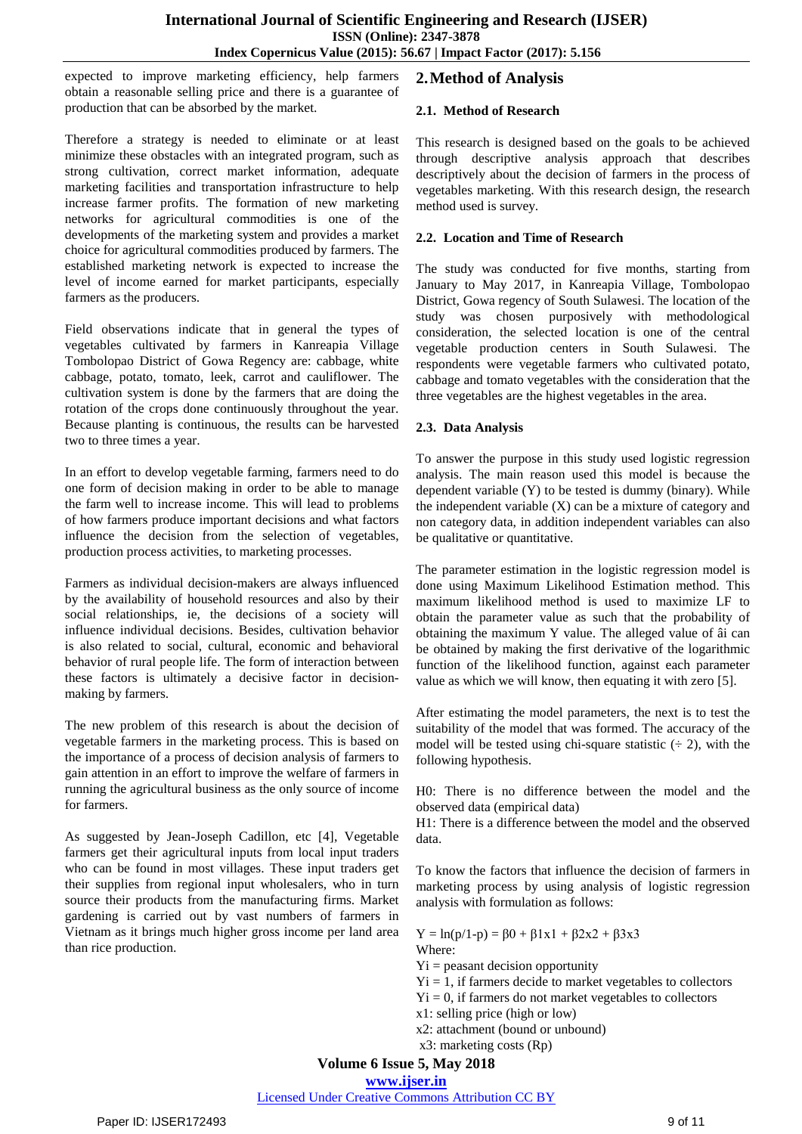expected to improve marketing efficiency, help farmers obtain a reasonable selling price and there is a guarantee of production that can be absorbed by the market.

Therefore a strategy is needed to eliminate or at least minimize these obstacles with an integrated program, such as strong cultivation, correct market information, adequate marketing facilities and transportation infrastructure to help increase farmer profits. The formation of new marketing networks for agricultural commodities is one of the developments of the marketing system and provides a market choice for agricultural commodities produced by farmers. The established marketing network is expected to increase the level of income earned for market participants, especially farmers as the producers.

Field observations indicate that in general the types of vegetables cultivated by farmers in Kanreapia Village Tombolopao District of Gowa Regency are: cabbage, white cabbage, potato, tomato, leek, carrot and cauliflower. The cultivation system is done by the farmers that are doing the rotation of the crops done continuously throughout the year. Because planting is continuous, the results can be harvested two to three times a year.

In an effort to develop vegetable farming, farmers need to do one form of decision making in order to be able to manage the farm well to increase income. This will lead to problems of how farmers produce important decisions and what factors influence the decision from the selection of vegetables, production process activities, to marketing processes.

Farmers as individual decision-makers are always influenced by the availability of household resources and also by their social relationships, ie, the decisions of a society will influence individual decisions. Besides, cultivation behavior is also related to social, cultural, economic and behavioral behavior of rural people life. The form of interaction between these factors is ultimately a decisive factor in decisionmaking by farmers.

The new problem of this research is about the decision of vegetable farmers in the marketing process. This is based on the importance of a process of decision analysis of farmers to gain attention in an effort to improve the welfare of farmers in running the agricultural business as the only source of income for farmers.

As suggested by Jean-Joseph Cadillon, etc [4], Vegetable farmers get their agricultural inputs from local input traders who can be found in most villages. These input traders get their supplies from regional input wholesalers, who in turn source their products from the manufacturing firms. Market gardening is carried out by vast numbers of farmers in Vietnam as it brings much higher gross income per land area than rice production.

# **2.Method of Analysis**

## **2.1. Method of Research**

This research is designed based on the goals to be achieved through descriptive analysis approach that describes descriptively about the decision of farmers in the process of vegetables marketing. With this research design, the research method used is survey.

## **2.2. Location and Time of Research**

The study was conducted for five months, starting from January to May 2017, in Kanreapia Village, Tombolopao District, Gowa regency of South Sulawesi. The location of the study was chosen purposively with methodological consideration, the selected location is one of the central vegetable production centers in South Sulawesi. The respondents were vegetable farmers who cultivated potato, cabbage and tomato vegetables with the consideration that the three vegetables are the highest vegetables in the area.

## **2.3. Data Analysis**

To answer the purpose in this study used logistic regression analysis. The main reason used this model is because the dependent variable (Y) to be tested is dummy (binary). While the independent variable  $(X)$  can be a mixture of category and non category data, in addition independent variables can also be qualitative or quantitative.

The parameter estimation in the logistic regression model is done using Maximum Likelihood Estimation method. This maximum likelihood method is used to maximize LF to obtain the parameter value as such that the probability of obtaining the maximum Y value. The alleged value of âi can be obtained by making the first derivative of the logarithmic function of the likelihood function, against each parameter value as which we will know, then equating it with zero [5].

After estimating the model parameters, the next is to test the suitability of the model that was formed. The accuracy of the model will be tested using chi-square statistic  $(2)$ , with the following hypothesis.

H0: There is no difference between the model and the observed data (empirical data)

H1: There is a difference between the model and the observed data.

To know the factors that influence the decision of farmers in marketing process by using analysis of logistic regression analysis with formulation as follows:

 $Y = ln(p/1-p) = β0 + β1x1 + β2x2 + β3x3$ Where:

- $Yi =$  peasant decision opportunity
- $Yi = 1$ , if farmers decide to market vegetables to collectors
- $Yi = 0$ , if farmers do not market vegetables to collectors
- x1: selling price (high or low)
- x2: attachment (bound or unbound)
- x3: marketing costs (Rp)

**Volume 6 Issue 5, May 2018**

**[www.ijser.in](file:///G:\www.ijser.in\Documents\www.ijser.in)**

[Licensed Under Creative Commons Attribution CC BY](http://creativecommons.org/licenses/by/4.0/)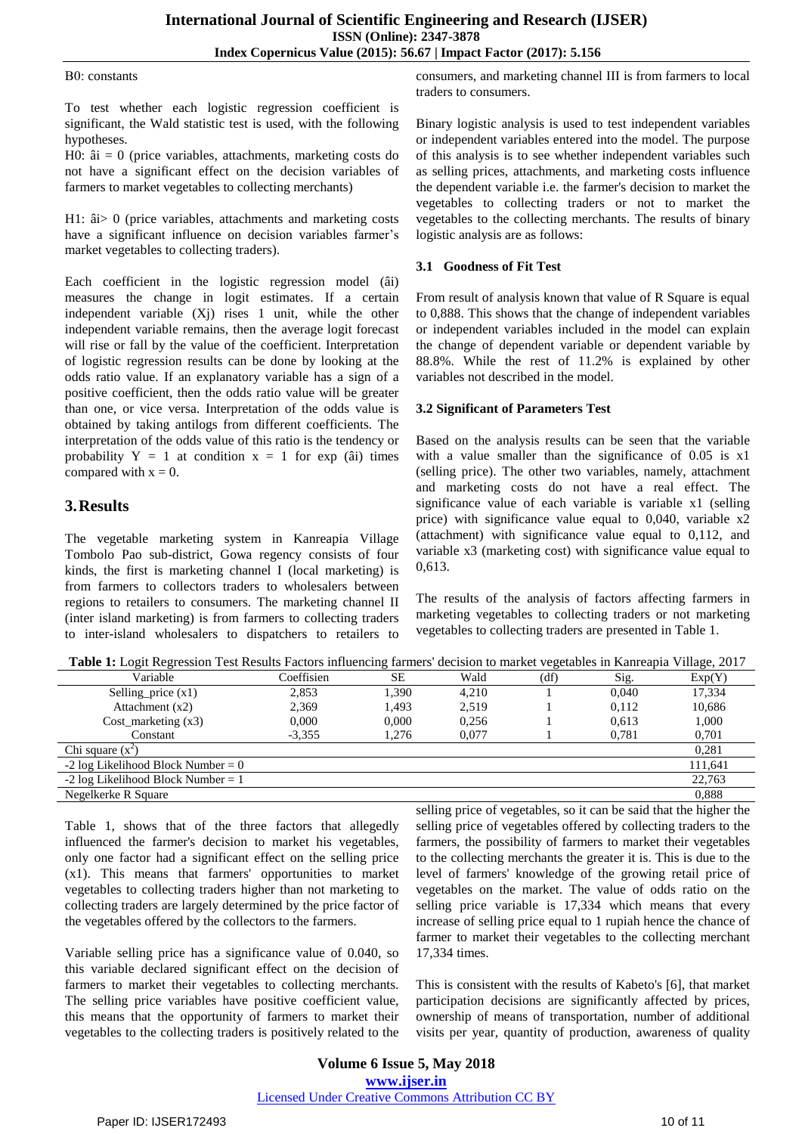#### Β0: constants

To test whether each logistic regression coefficient is significant, the Wald statistic test is used, with the following hypotheses.

H0:  $\hat{a}i = 0$  (price variables, attachments, marketing costs do not have a significant effect on the decision variables of farmers to market vegetables to collecting merchants)

H1: âi> 0 (price variables, attachments and marketing costs have a significant influence on decision variables farmer's market vegetables to collecting traders).

Each coefficient in the logistic regression model (âi) measures the change in logit estimates. If a certain independent variable  $(X<sub>i</sub>)$  rises 1 unit, while the other independent variable remains, then the average logit forecast will rise or fall by the value of the coefficient. Interpretation of logistic regression results can be done by looking at the odds ratio value. If an explanatory variable has a sign of a positive coefficient, then the odds ratio value will be greater than one, or vice versa. Interpretation of the odds value is obtained by taking antilogs from different coefficients. The interpretation of the odds value of this ratio is the tendency or probability  $Y = 1$  at condition  $x = 1$  for exp (âi) times compared with  $x = 0$ .

## **3.Results**

The vegetable marketing system in Kanreapia Village Tombolo Pao sub-district, Gowa regency consists of four kinds, the first is marketing channel I (local marketing) is from farmers to collectors traders to wholesalers between regions to retailers to consumers. The marketing channel II (inter island marketing) is from farmers to collecting traders to inter-island wholesalers to dispatchers to retailers to

consumers, and marketing channel III is from farmers to local traders to consumers.

Binary logistic analysis is used to test independent variables or independent variables entered into the model. The purpose of this analysis is to see whether independent variables such as selling prices, attachments, and marketing costs influence the dependent variable i.e. the farmer's decision to market the vegetables to collecting traders or not to market the vegetables to the collecting merchants. The results of binary logistic analysis are as follows:

### **3.1 Goodness of Fit Test**

From result of analysis known that value of R Square is equal to 0,888. This shows that the change of independent variables or independent variables included in the model can explain the change of dependent variable or dependent variable by 88.8%. While the rest of 11.2% is explained by other variables not described in the model.

## **3.2 Significant of Parameters Test**

Based on the analysis results can be seen that the variable with a value smaller than the significance of 0.05 is x1 (selling price). The other two variables, namely, attachment and marketing costs do not have a real effect. The significance value of each variable is variable x1 (selling price) with significance value equal to 0,040, variable x2 (attachment) with significance value equal to 0,112, and variable x3 (marketing cost) with significance value equal to 0,613.

The results of the analysis of factors affecting farmers in marketing vegetables to collecting traders or not marketing vegetables to collecting traders are presented in Table 1.

**Table 1:** Logit Regression Test Results Factors influencing farmers' decision to market vegetables in Kanreapia Village, 2017

| Variable                              | Coeffisien | SЕ    | Wald  | (df) | Sig.  | Exp(Y)  |
|---------------------------------------|------------|-------|-------|------|-------|---------|
| Selling_price $(x1)$                  | 2.853      | 1.390 | 4.210 |      | 0.040 | 17,334  |
| Attachment $(x2)$                     | 2,369      | 1.493 | 2,519 |      | 0.112 | 10,686  |
| $Cost$ marketing $(x3)$               | 0.000      | 0.000 | 0.256 |      | 0.613 | 1,000   |
| Constant                              | $-3.355$   | 1.276 | 0.077 |      | 0.781 | 0,701   |
| Chi square $(x^2)$                    |            |       |       |      |       | 0,281   |
| $-2 \log$ Likelihood Block Number = 0 |            |       |       |      |       | 111,641 |
| $-2 \log$ Likelihood Block Number = 1 |            |       |       |      |       | 22,763  |
| Negelkerke R Square                   |            |       |       |      |       | 0.888   |

Table 1, shows that of the three factors that allegedly influenced the farmer's decision to market his vegetables, only one factor had a significant effect on the selling price (x1). This means that farmers' opportunities to market vegetables to collecting traders higher than not marketing to collecting traders are largely determined by the price factor of the vegetables offered by the collectors to the farmers.

Variable selling price has a significance value of 0.040, so this variable declared significant effect on the decision of farmers to market their vegetables to collecting merchants. The selling price variables have positive coefficient value, this means that the opportunity of farmers to market their vegetables to the collecting traders is positively related to the

selling price of vegetables, so it can be said that the higher the selling price of vegetables offered by collecting traders to the farmers, the possibility of farmers to market their vegetables to the collecting merchants the greater it is. This is due to the level of farmers' knowledge of the growing retail price of vegetables on the market. The value of odds ratio on the selling price variable is 17,334 which means that every increase of selling price equal to 1 rupiah hence the chance of farmer to market their vegetables to the collecting merchant 17,334 times.

This is consistent with the results of Kabeto's [6], that market participation decisions are significantly affected by prices, ownership of means of transportation, number of additional visits per year, quantity of production, awareness of quality